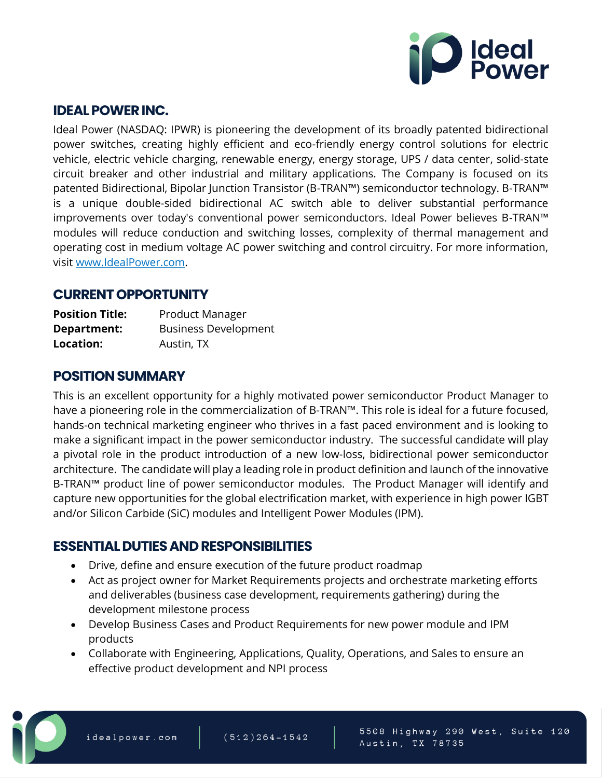

### **IDEAL POWER INC.**

Ideal Power (NASDAQ: IPWR) is pioneering the development of its broadly patented bidirectional power switches, creating highly efficient and eco-friendly energy control solutions for electric vehicle, electric vehicle charging, renewable energy, energy storage, UPS / data center, solid-state circuit breaker and other industrial and military applications. The Company is focused on its patented Bidirectional, Bipolar Junction Transistor (B-TRAN™) semiconductor technology. B-TRAN™ is a unique double-sided bidirectional AC switch able to deliver substantial performance improvements over today's conventional power semiconductors. Ideal Power believes B-TRAN™ modules will reduce conduction and switching losses, complexity of thermal management and operating cost in medium voltage AC power switching and control circuitry. For more information, visit [www.IdealPower.com.](http://www.idealpower.com/)

### **CURRENT OPPORTUNITY**

| <b>Position Title:</b> | <b>Product Manager</b>      |
|------------------------|-----------------------------|
| Department:            | <b>Business Development</b> |
| Location:              | Austin, TX                  |

# **POSITION SUMMARY**

This is an excellent opportunity for a highly motivated power semiconductor Product Manager to have a pioneering role in the commercialization of B-TRAN™. This role is ideal for a future focused, hands-on technical marketing engineer who thrives in a fast paced environment and is looking to make a significant impact in the power semiconductor industry. The successful candidate will play a pivotal role in the product introduction of a new low-loss, bidirectional power semiconductor architecture. The candidate will play a leading role in product definition and launch of the innovative B-TRAN™ product line of power semiconductor modules. The Product Manager will identify and capture new opportunities for the global electrification market, with experience in high power IGBT and/or Silicon Carbide (SiC) modules and Intelligent Power Modules (IPM).

# **ESSENTIAL DUTIES AND RESPONSIBILITIES**

- Drive, define and ensure execution of the future product roadmap
- Act as project owner for Market Requirements projects and orchestrate marketing efforts and deliverables (business case development, requirements gathering) during the development milestone process
- Develop Business Cases and Product Requirements for new power module and IPM products
- Collaborate with Engineering, Applications, Quality, Operations, and Sales to ensure an effective product development and NPI process